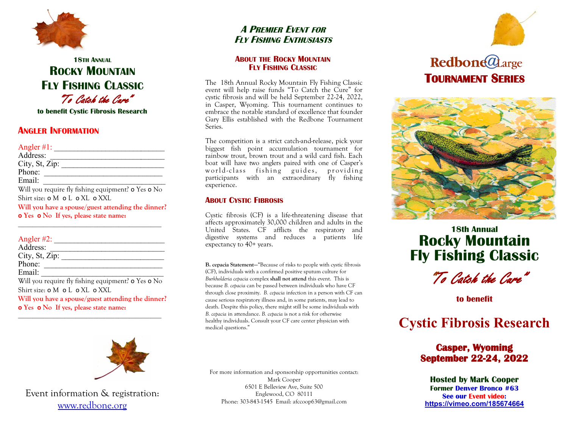

## **18TH ANNUAL ROCKY MOUNTAIN FLY FISHING CLASSIC** "To Catch the Cure"

**to benefit Cystic Fibrosis Research**

## **ANGLER INFORMATION**

Angler #1: \_\_\_\_\_\_\_\_\_\_\_\_\_\_\_\_\_\_\_\_\_\_\_\_\_\_\_\_ Address:  $City, St, Zip:$ Phone: Email:  $\Box$ Will you require fly fishing equipment? **o** Yes **o** No Shirt size: **o** M **o** L **o** XL **o** XXL **Will you have a spouse/guest attending the dinner? o Yes o No If yes, please state name:**

### Angler  $#2$ :

| Address:                                                         |
|------------------------------------------------------------------|
| City, St, Zip:                                                   |
| Phone:                                                           |
| Email:                                                           |
| Will you require fly fishing equipment? <b>o</b> Yes <b>o</b> No |
| Shirt size: <b>o</b> M <b>o</b> L <b>o</b> XL <b>o</b> XXL       |
| Will you have a spouse/guest attending the dinner?               |
| <b>o</b> Yes <b>o</b> No If yes, please state name:              |

\_\_\_\_\_\_\_\_\_\_\_\_\_\_\_\_\_\_\_\_\_\_\_\_\_\_\_\_\_\_\_\_\_\_\_\_\_\_\_\_



Event information & registration: www.redbone.org

## **A PREMIER EVENT FOR FLY FISHING ENTHUSIASTS**

#### **ABOUT THE ROCKY MOUNTAIN FLY FISHING CLASSIC**

The 18th Annual Rocky Mountain Fly Fishing Classic event will help raise funds "To Catch the Cure" for cystic fibrosis and will be held September 22-24, 2022, in Casper, Wyoming. This tournament continues to embrace the notable standard of excellence that founder Gary Ellis established with the Redbone Tournament Series.

The competition is a strict catch-and-release, pick your biggest fish point accumulation tournament for rainbow trout, brown trout and a wild card fish. Each boat will have two anglers paired with one of Casper's world-class fishing guides, providing participants with an extraordinary fly fishing experience.

### **ABOUT CYSTIC FIBROSIS**

Cystic fibrosis (CF) is a life-threatening disease that affects approximately 30,000 children and adults in the United States. CF afflicts the respiratory and digestive systems and reduces a patients life expectancy to 40+ years.

**B. cepacia Statement—**"Because of risks to people with cystic fibrosis (CF), individuals with a confirmed positive sputum culture for *Burkholderia cepacia* complex **shall not attend** this event. This is because *B. cepacia* can be passed between individuals who have CF through close proximity. *B. cepacia* infection in a person with CF can cause serious respiratory illness and, in some patients, may lead to death. Despite this policy, there might still be some individuals with *B. cepacia* in attendance. *B. cepacia* is not a risk for otherwise healthy individuals. Consult your CF care center physician with medical questions."

For more information and sponsorship opportunities contact: Mark Cooper 6501 E Belleview Ave, Suite 500 Englewood, CO 80111 Phone: 303-843-1545 Email: afccoop63@gmail.com



# **Redbone@**Large  **TOURNAMENT SERIES**



## **18th Annual Rocky Mountain Fly Fishing Classic**

"To Catch the Cure"

**to benefit**

# **Cystic Fibrosis Research**

## **Casper, Wyoming September 22-24, 2022**

**Hosted by Mark Cooper Former Denver Bronco #63 See our Event video: <https://vimeo.com/185674664>**